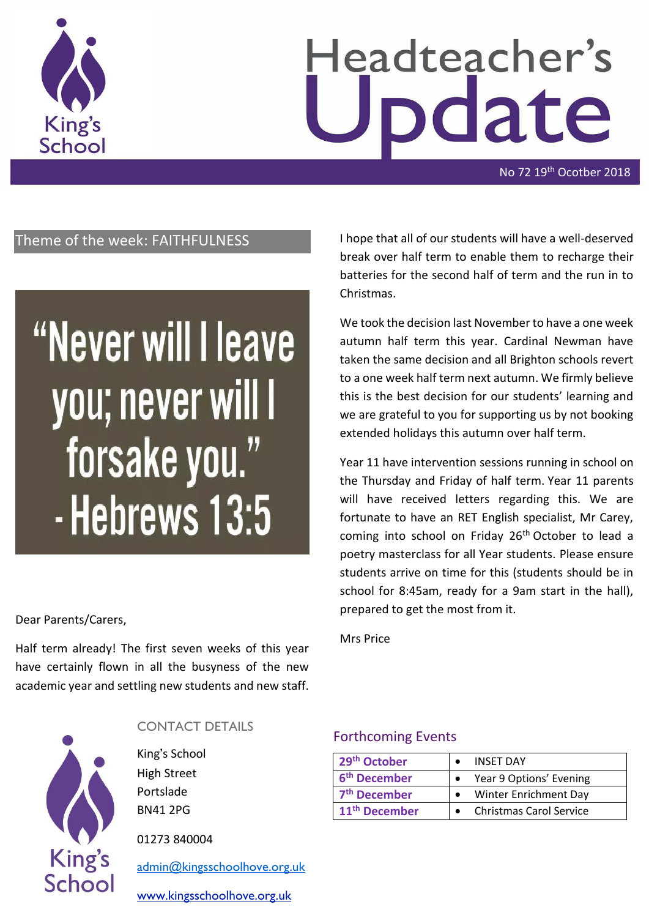

# Headteacher's date

No 72 19<sup>th</sup> Ocotber 2018

## Theme of the week: FAITHFULNESS

## "Never will I leave you; never will I forsake you." - Hebrews 13:5

#### Dear Parents/Carers,

Half term already! The first seven weeks of this year have certainly flown in all the busyness of the new academic year and settling new students and new staff.



#### CONTACT DETAILS

King's School High Street Portslade BN41 2PG

01273 840004

[admin@kingsschoolhove.org.uk](mailto:admin@kingsschoolhove.org.uk)

[www.kingsschoolhove.org.uk](http://www.kingsschoolhove.org.uk/)

I hope that all of our students will have a well-deserved break over half term to enable them to recharge their batteries for the second half of term and the run in to Christmas.

We took the decision last November to have a one week autumn half term this year. Cardinal Newman have taken the same decision and all Brighton schools revert to a one week half term next autumn. We firmly believe this is the best decision for our students' learning and we are grateful to you for supporting us by not booking extended holidays this autumn over half term.

Year 11 have intervention sessions running in school on the Thursday and Friday of half term. Year 11 parents will have received letters regarding this. We are fortunate to have an RET English specialist, Mr Carey, coming into school on Friday 26<sup>th</sup> October to lead a poetry masterclass for all Year students. Please ensure students arrive on time for this (students should be in school for 8:45am, ready for a 9am start in the hall), prepared to get the most from it.

Mrs Price

#### Forthcoming Events

| 29 <sup>th</sup> October  | <b>INSET DAY</b>               |
|---------------------------|--------------------------------|
| 6 <sup>th</sup> December  | Year 9 Options' Evening        |
| 7 <sup>th</sup> December  | Winter Enrichment Day          |
| 11 <sup>th</sup> December | <b>Christmas Carol Service</b> |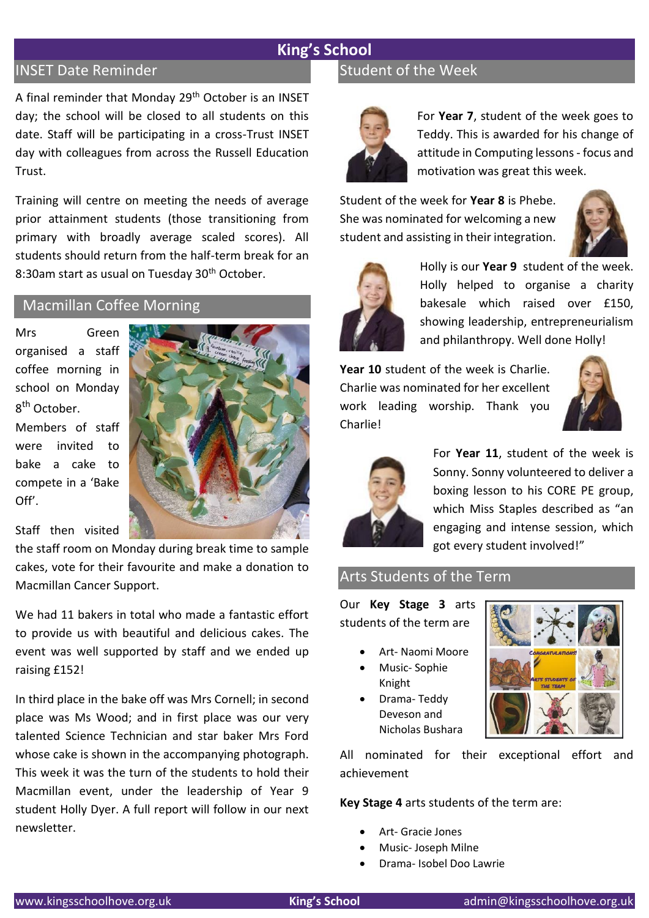## **King's School**

#### INSET Date Reminder

A final reminder that Monday 29<sup>th</sup> October is an INSET day; the school will be closed to all students on this date. Staff will be participating in a cross-Trust INSET day with colleagues from across the Russell Education Trust.

Training will centre on meeting the needs of average prior attainment students (those transitioning from primary with broadly average scaled scores). All students should return from the half-term break for an 8:30am start as usual on Tuesday 30<sup>th</sup> October.

## Macmillan Coffee Morning

Mrs Green organised a staff coffee morning in school on Monday 8<sup>th</sup> October.

Members of staff were invited to bake a cake to compete in a 'Bake Off'.

Staff then visited

the staff room on Monday during break time to sample cakes, vote for their favourite and make a donation to Macmillan Cancer Support.

We had 11 bakers in total who made a fantastic effort to provide us with beautiful and delicious cakes. The event was well supported by staff and we ended up raising £152!

In third place in the bake off was Mrs Cornell; in second place was Ms Wood; and in first place was our very talented Science Technician and star baker Mrs Ford whose cake is shown in the accompanying photograph. This week it was the turn of the students to hold their Macmillan event, under the leadership of Year 9 student Holly Dyer. A full report will follow in our next newsletter.

## Student of the Week



For **Year 7**, student of the week goes to Teddy. This is awarded for his change of attitude in Computing lessons - focus and motivation was great this week.

Student of the week for **Year 8** is Phebe. She was nominated for welcoming a new student and assisting in their integration.





Holly is our **Year 9** student of the week. Holly helped to organise a charity bakesale which raised over £150, showing leadership, entrepreneurialism and philanthropy. Well done Holly!

**Year 10** student of the week is Charlie. Charlie was nominated for her excellent work leading worship. Thank you Charlie!





For **Year 11**, student of the week is Sonny. Sonny volunteered to deliver a boxing lesson to his CORE PE group, which Miss Staples described as "an engaging and intense session, which got every student involved!"

#### Arts Students of the Term

Our **Key Stage 3** arts students of the term are

- Art- Naomi Moore
- Music- Sophie Knight • Drama- Teddy
- Deveson and Nicholas Bushara



All nominated for their exceptional effort and achievement

**Key Stage 4** arts students of the term are:

- Art- Gracie Jones
- Music- Joseph Milne
- Drama- Isobel Doo Lawrie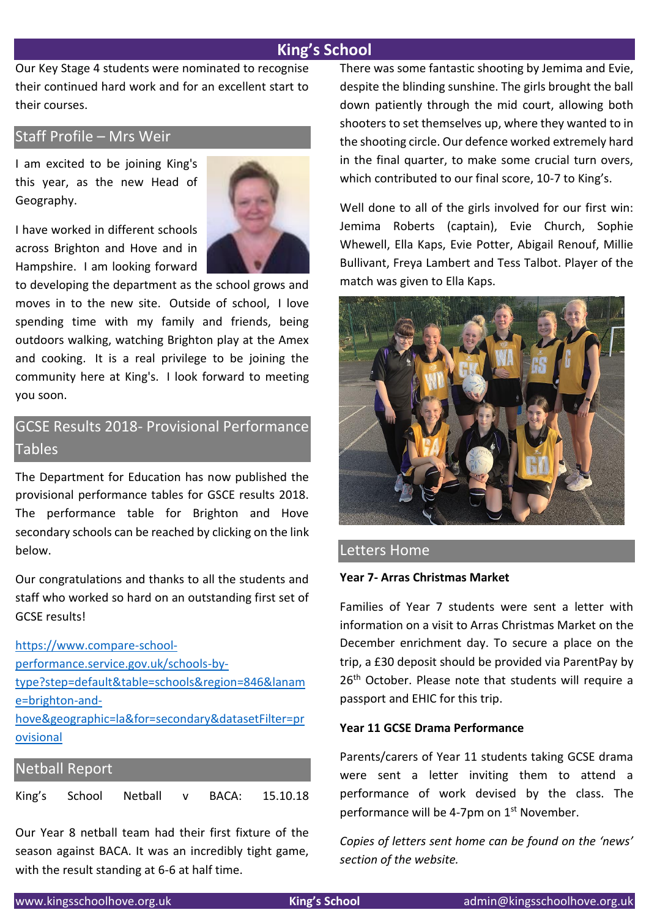### **King's School**

Our Key Stage 4 students were nominated to recognise their continued hard work and for an excellent start to their courses.

#### Staff Profile – Mrs Weir

I am excited to be joining King's this year, as the new Head of Geography.

I have worked in different schools across Brighton and Hove and in Hampshire. I am looking forward



to developing the department as the school grows and moves in to the new site. Outside of school, I love spending time with my family and friends, being outdoors walking, watching Brighton play at the Amex and cooking. It is a real privilege to be joining the community here at King's. I look forward to meeting you soon.

## GCSE Results 2018- Provisional Performance **Tables**

The Department for Education has now published the provisional performance tables for GSCE results 2018. The performance table for Brighton and Hove secondary schools can be reached by clicking on the link below.

Our congratulations and thanks to all the students and staff who worked so hard on an outstanding first set of GCSE results!

[https://www.compare-school](https://www.compare-school-performance.service.gov.uk/schools-by-type?step=default&table=schools®ion=846&laname=brighton-and-hove&geographic=la&for=secondary&datasetFilter=provisional)[performance.service.gov.uk/schools-by](https://www.compare-school-performance.service.gov.uk/schools-by-type?step=default&table=schools®ion=846&laname=brighton-and-hove&geographic=la&for=secondary&datasetFilter=provisional)[type?step=default&table=schools&region=846&lanam](https://www.compare-school-performance.service.gov.uk/schools-by-type?step=default&table=schools®ion=846&laname=brighton-and-hove&geographic=la&for=secondary&datasetFilter=provisional) [e=brighton-and](https://www.compare-school-performance.service.gov.uk/schools-by-type?step=default&table=schools®ion=846&laname=brighton-and-hove&geographic=la&for=secondary&datasetFilter=provisional)[hove&geographic=la&for=secondary&datasetFilter=pr](https://www.compare-school-performance.service.gov.uk/schools-by-type?step=default&table=schools®ion=846&laname=brighton-and-hove&geographic=la&for=secondary&datasetFilter=provisional) [ovisional](https://www.compare-school-performance.service.gov.uk/schools-by-type?step=default&table=schools®ion=846&laname=brighton-and-hove&geographic=la&for=secondary&datasetFilter=provisional)

#### Netball Report

King's School Netball v BACA: 15.10.18

Our Year 8 netball team had their first fixture of the season against BACA. It was an incredibly tight game, with the result standing at 6-6 at half time.

There was some fantastic shooting by Jemima and Evie, despite the blinding sunshine. The girls brought the ball down patiently through the mid court, allowing both shooters to set themselves up, where they wanted to in the shooting circle. Our defence worked extremely hard in the final quarter, to make some crucial turn overs, which contributed to our final score, 10-7 to King's.

Well done to all of the girls involved for our first win: Jemima Roberts (captain), Evie Church, Sophie Whewell, Ella Kaps, Evie Potter, Abigail Renouf, Millie Bullivant, Freya Lambert and Tess Talbot. Player of the match was given to Ella Kaps.



#### Letters Home

#### **Year 7- Arras Christmas Market**

Families of Year 7 students were sent a letter with information on a visit to Arras Christmas Market on the December enrichment day. To secure a place on the trip, a £30 deposit should be provided via ParentPay by 26<sup>th</sup> October. Please note that students will require a passport and EHIC for this trip.

#### **Year 11 GCSE Drama Performance**

Parents/carers of Year 11 students taking GCSE drama were sent a letter inviting them to attend a performance of work devised by the class. The performance will be 4-7pm on 1<sup>st</sup> November.

*Copies of letters sent home can be found on the 'news' section of the website.*